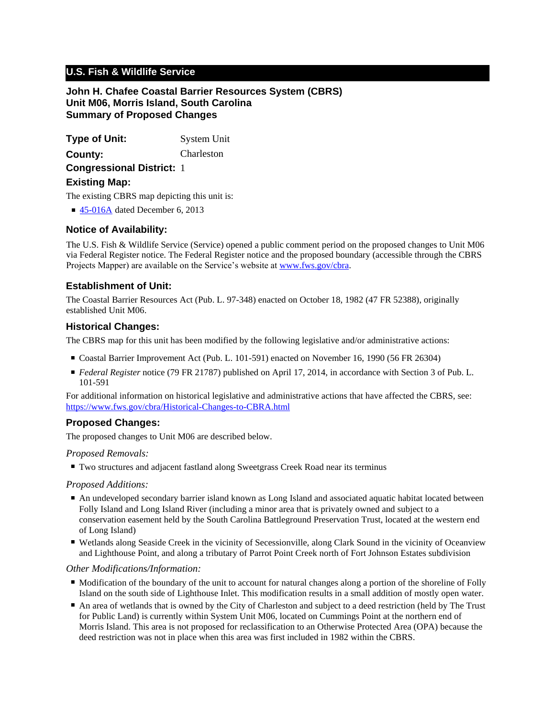# **U.S. Fish & Wildlife Service**

## **John H. Chafee Coastal Barrier Resources System (CBRS) Unit M06, Morris Island, South Carolina Summary of Proposed Changes**

**Type of Unit:** System Unit **Congressional District:** 1 **County:** Charleston **Existing Map:**

The existing CBRS map depicting this unit is:

■ [45-016A](http://www.fws.gov/cbra/maps/effective/45-016A.pdf) dated December 6, 2013

### **Notice of Availability:**

The U.S. Fish & Wildlife Service (Service) opened a public comment period on the proposed changes to Unit M06 via Federal Register notice. The Federal Register notice and the proposed boundary (accessible through the CBRS Projects Mapper) are available on the Service's website at www.fws.gov/cbra.

### **Establishment of Unit:**

The Coastal Barrier Resources Act (Pub. L. 97-348) enacted on October 18, 1982 (47 FR 52388), originally established Unit M06.

#### **Historical Changes:**

The CBRS map for this unit has been modified by the following legislative and/or administrative actions:

- Coastal Barrier Improvement Act (Pub. L. 101-591) enacted on November 16, 1990 (56 FR 26304)
- *Federal Register* notice (79 FR 21787) published on April 17, 2014, in accordance with Section 3 of Pub. L. 101-591

For additional information on historical legislative and administrative actions that have affected the CBRS, see: <https://www.fws.gov/cbra/Historical-Changes-to-CBRA.html>

## **Proposed Changes:**

The proposed changes to Unit M06 are described below.

#### *Proposed Removals:*

■ Two structures and adjacent fastland along Sweetgrass Creek Road near its terminus

#### *Proposed Additions:*

- An undeveloped secondary barrier island known as Long Island and associated aquatic habitat located between Folly Island and Long Island River (including a minor area that is privately owned and subject to a conservation easement held by the South Carolina Battleground Preservation Trust, located at the western end of Long Island)
- Wetlands along Seaside Creek in the vicinity of Secessionville, along Clark Sound in the vicinity of Oceanview and Lighthouse Point, and along a tributary of Parrot Point Creek north of Fort Johnson Estates subdivision

#### *Other Modifications/Information:*

- Modification of the boundary of the unit to account for natural changes along a portion of the shoreline of Folly Island on the south side of Lighthouse Inlet. This modification results in a small addition of mostly open water.
- An area of wetlands that is owned by the City of Charleston and subject to a deed restriction (held by The Trust for Public Land) is currently within System Unit M06, located on Cummings Point at the northern end of Morris Island. This area is not proposed for reclassification to an Otherwise Protected Area (OPA) because the deed restriction was not in place when this area was first included in 1982 within the CBRS.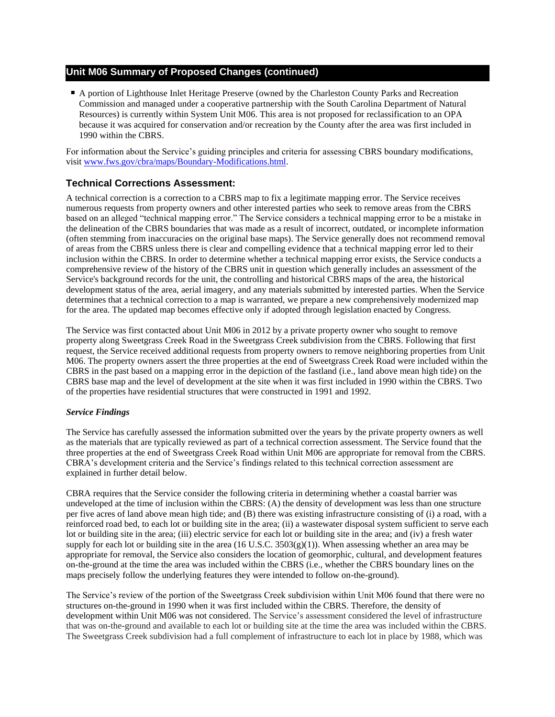## **Unit M06 Summary of Proposed Changes (continued)**

■ A portion of Lighthouse Inlet Heritage Preserve (owned by the Charleston County Parks and Recreation Commission and managed under a cooperative partnership with the South Carolina Department of Natural Resources) is currently within System Unit M06. This area is not proposed for reclassification to an OPA because it was acquired for conservation and/or recreation by the County after the area was first included in 1990 within the CBRS.

For information about the Service's guiding principles and criteria for assessing CBRS boundary modifications, visit www.fws.gov/cbra/maps/Boundary-Modifications.html.

### **Technical Corrections Assessment:**

A technical correction is a correction to a CBRS map to fix a legitimate mapping error. The Service receives numerous requests from property owners and other interested parties who seek to remove areas from the CBRS based on an alleged "technical mapping error." The Service considers a technical mapping error to be a mistake in the delineation of the CBRS boundaries that was made as a result of incorrect, outdated, or incomplete information (often stemming from inaccuracies on the original base maps). The Service generally does not recommend removal of areas from the CBRS unless there is clear and compelling evidence that a technical mapping error led to their inclusion within the CBRS. In order to determine whether a technical mapping error exists, the Service conducts a comprehensive review of the history of the CBRS unit in question which generally includes an assessment of the Service's background records for the unit, the controlling and historical CBRS maps of the area, the historical development status of the area, aerial imagery, and any materials submitted by interested parties. When the Service determines that a technical correction to a map is warranted, we prepare a new comprehensively modernized map for the area. The updated map becomes effective only if adopted through legislation enacted by Congress.

The Service was first contacted about Unit M06 in 2012 by a private property owner who sought to remove property along Sweetgrass Creek Road in the Sweetgrass Creek subdivision from the CBRS. Following that first request, the Service received additional requests from property owners to remove neighboring properties from Unit M06. The property owners assert the three properties at the end of Sweetgrass Creek Road were included within the CBRS in the past based on a mapping error in the depiction of the fastland (i.e., land above mean high tide) on the CBRS base map and the level of development at the site when it was first included in 1990 within the CBRS. Two of the properties have residential structures that were constructed in 1991 and 1992.

#### *Service Findings*

The Service has carefully assessed the information submitted over the years by the private property owners as well as the materials that are typically reviewed as part of a technical correction assessment. The Service found that the three properties at the end of Sweetgrass Creek Road within Unit M06 are appropriate for removal from the CBRS. CBRA's development criteria and the Service's findings related to this technical correction assessment are explained in further detail below.

CBRA requires that the Service consider the following criteria in determining whether a coastal barrier was undeveloped at the time of inclusion within the CBRS: (A) the density of development was less than one structure per five acres of land above mean high tide; and (B) there was existing infrastructure consisting of (i) a road, with a reinforced road bed, to each lot or building site in the area; (ii) a wastewater disposal system sufficient to serve each lot or building site in the area; (iii) electric service for each lot or building site in the area; and (iv) a fresh water supply for each lot or building site in the area (16 U.S.C.  $3503(g)(1)$ ). When assessing whether an area may be appropriate for removal, the Service also considers the location of geomorphic, cultural, and development features on-the-ground at the time the area was included within the CBRS (i.e., whether the CBRS boundary lines on the maps precisely follow the underlying features they were intended to follow on-the-ground).

The Service's review of the portion of the Sweetgrass Creek subdivision within Unit M06 found that there were no structures on-the-ground in 1990 when it was first included within the CBRS. Therefore, the density of development within Unit M06 was not considered. The Service's assessment considered the level of infrastructure that was on-the-ground and available to each lot or building site at the time the area was included within the CBRS. The Sweetgrass Creek subdivision had a full complement of infrastructure to each lot in place by 1988, which was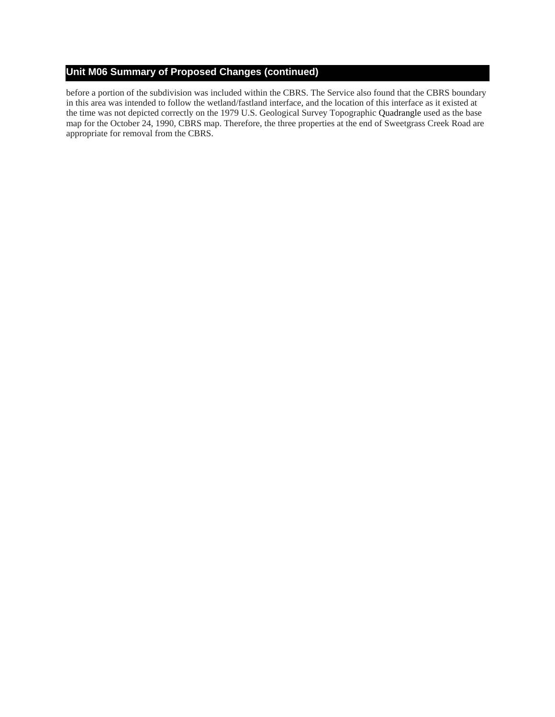# **Unit M06 Summary of Proposed Changes (continued)**

before a portion of the subdivision was included within the CBRS. The Service also found that the CBRS boundary in this area was intended to follow the wetland/fastland interface, and the location of this interface as it existed at the time was not depicted correctly on the 1979 U.S. Geological Survey Topographic Quadrangle used as the base map for the October 24, 1990, CBRS map. Therefore, the three properties at the end of Sweetgrass Creek Road are appropriate for removal from the CBRS.